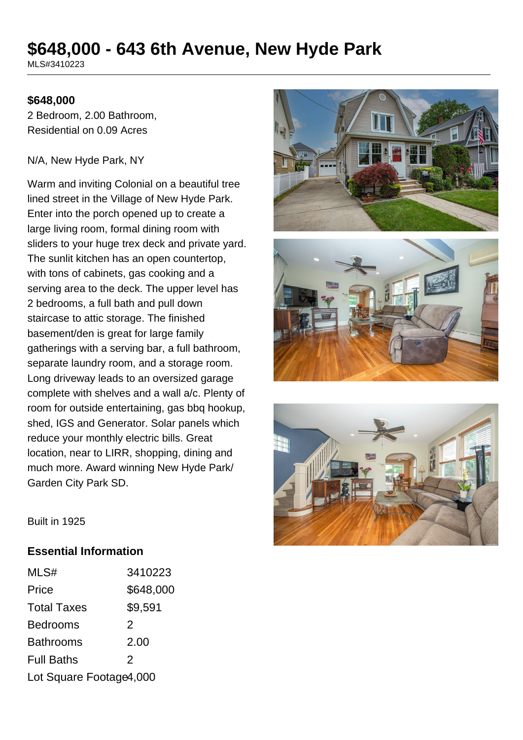# **\$648,000 - 643 6th Avenue, New Hyde Park**

MLS#3410223

#### **\$648,000**

2 Bedroom, 2.00 Bathroom, Residential on 0.09 Acres

#### N/A, New Hyde Park, NY

Warm and inviting Colonial on a beautiful tree lined street in the Village of New Hyde Park. Enter into the porch opened up to create a large living room, formal dining room with sliders to your huge trex deck and private yard. The sunlit kitchen has an open countertop, with tons of cabinets, gas cooking and a serving area to the deck. The upper level has 2 bedrooms, a full bath and pull down staircase to attic storage. The finished basement/den is great for large family gatherings with a serving bar, a full bathroom, separate laundry room, and a storage room. Long driveway leads to an oversized garage complete with shelves and a wall a/c. Plenty of room for outside entertaining, gas bbq hookup, shed, IGS and Generator. Solar panels which reduce your monthly electric bills. Great location, near to LIRR, shopping, dining and much more. Award winning New Hyde Park/ Garden City Park SD.







Built in 1925

#### **Essential Information**

| MLS#                    | 3410223   |
|-------------------------|-----------|
| Price                   | \$648,000 |
| <b>Total Taxes</b>      | \$9,591   |
| <b>Bedrooms</b>         | 2         |
| <b>Bathrooms</b>        | 2.00      |
| <b>Full Baths</b>       | 2         |
| Lot Square Footage4,000 |           |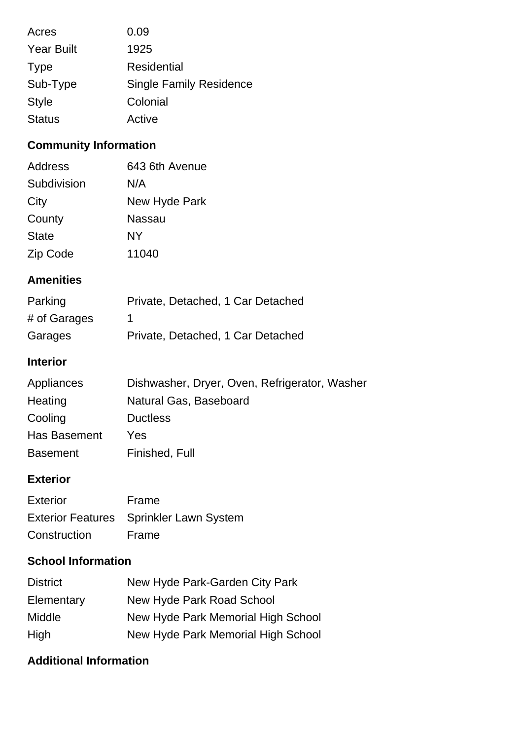| Acres             | 0.09                           |
|-------------------|--------------------------------|
| <b>Year Built</b> | 1925                           |
| <b>Type</b>       | Residential                    |
| Sub-Type          | <b>Single Family Residence</b> |
| <b>Style</b>      | Colonial                       |
| <b>Status</b>     | Active                         |

## **Community Information**

| <b>Address</b> | 643 6th Avenue |
|----------------|----------------|
| Subdivision    | N/A            |
| City           | New Hyde Park  |
| County         | Nassau         |
| <b>State</b>   | NΥ             |
| Zip Code       | 11040          |

### **Amenities**

| Parking      | Private, Detached, 1 Car Detached |
|--------------|-----------------------------------|
| # of Garages |                                   |
| Garages      | Private, Detached, 1 Car Detached |

## **Interior**

| Appliances      | Dishwasher, Dryer, Oven, Refrigerator, Washer |
|-----------------|-----------------------------------------------|
| Heating         | Natural Gas, Baseboard                        |
| Cooling         | <b>Ductless</b>                               |
| Has Basement    | Yes                                           |
| <b>Basement</b> | Finished, Full                                |

### **Exterior**

| <b>Exterior</b> | Frame                                   |
|-----------------|-----------------------------------------|
|                 | Exterior Features Sprinkler Lawn System |
| Construction    | Frame                                   |

## **School Information**

| <b>District</b> | New Hyde Park-Garden City Park     |
|-----------------|------------------------------------|
| Elementary      | New Hyde Park Road School          |
| <b>Middle</b>   | New Hyde Park Memorial High School |
| High            | New Hyde Park Memorial High School |

## **Additional Information**